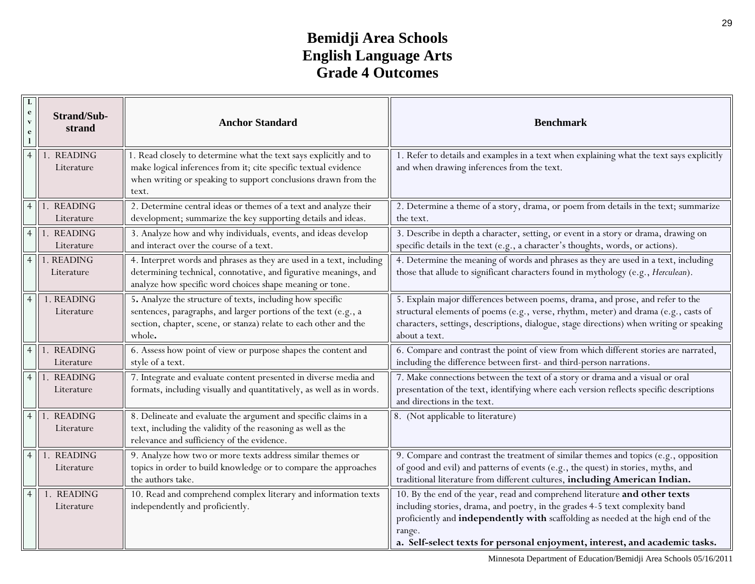## **Bemidji Area Schools English Language Arts Grade 4 Outcomes**

| $\mathbf{e}$<br>$\mathbf{v}$<br>e | <b>Strand/Sub-</b><br>strand | <b>Anchor Standard</b>                                                                                                                                                                                          | <b>Benchmark</b>                                                                                                                                                                                                                                                                                                                       |
|-----------------------------------|------------------------------|-----------------------------------------------------------------------------------------------------------------------------------------------------------------------------------------------------------------|----------------------------------------------------------------------------------------------------------------------------------------------------------------------------------------------------------------------------------------------------------------------------------------------------------------------------------------|
| $\overline{4}$                    | 1. READING<br>Literature     | 1. Read closely to determine what the text says explicitly and to<br>make logical inferences from it; cite specific textual evidence<br>when writing or speaking to support conclusions drawn from the<br>text. | 1. Refer to details and examples in a text when explaining what the text says explicitly<br>and when drawing inferences from the text.                                                                                                                                                                                                 |
| $\overline{4}$                    | 1. READING<br>Literature     | 2. Determine central ideas or themes of a text and analyze their<br>development; summarize the key supporting details and ideas.                                                                                | 2. Determine a theme of a story, drama, or poem from details in the text; summarize<br>the text.                                                                                                                                                                                                                                       |
| $\overline{4}$                    | 1. READING<br>Literature     | 3. Analyze how and why individuals, events, and ideas develop<br>and interact over the course of a text.                                                                                                        | 3. Describe in depth a character, setting, or event in a story or drama, drawing on<br>specific details in the text (e.g., a character's thoughts, words, or actions).                                                                                                                                                                 |
| $\overline{4}$                    | 1. READING<br>Literature     | 4. Interpret words and phrases as they are used in a text, including<br>determining technical, connotative, and figurative meanings, and<br>analyze how specific word choices shape meaning or tone.            | 4. Determine the meaning of words and phrases as they are used in a text, including<br>those that allude to significant characters found in mythology (e.g., Herculean).                                                                                                                                                               |
| $\overline{4}$                    | 1. READING<br>Literature     | 5. Analyze the structure of texts, including how specific<br>sentences, paragraphs, and larger portions of the text (e.g., a<br>section, chapter, scene, or stanza) relate to each other and the<br>whole.      | 5. Explain major differences between poems, drama, and prose, and refer to the<br>structural elements of poems (e.g., verse, rhythm, meter) and drama (e.g., casts of<br>characters, settings, descriptions, dialogue, stage directions) when writing or speaking<br>about a text.                                                     |
| $\overline{4}$                    | 1. READING<br>Literature     | 6. Assess how point of view or purpose shapes the content and<br>style of a text.                                                                                                                               | 6. Compare and contrast the point of view from which different stories are narrated,<br>including the difference between first- and third-person narrations.                                                                                                                                                                           |
| $\overline{4}$                    | 1. READING<br>Literature     | 7. Integrate and evaluate content presented in diverse media and<br>formats, including visually and quantitatively, as well as in words.                                                                        | 7. Make connections between the text of a story or drama and a visual or oral<br>presentation of the text, identifying where each version reflects specific descriptions<br>and directions in the text.                                                                                                                                |
| $\overline{4}$                    | 1. READING<br>Literature     | 8. Delineate and evaluate the argument and specific claims in a<br>text, including the validity of the reasoning as well as the<br>relevance and sufficiency of the evidence.                                   | 8. (Not applicable to literature)                                                                                                                                                                                                                                                                                                      |
| $\overline{4}$                    | 1. READING<br>Literature     | 9. Analyze how two or more texts address similar themes or<br>topics in order to build knowledge or to compare the approaches<br>the authors take.                                                              | 9. Compare and contrast the treatment of similar themes and topics (e.g., opposition<br>of good and evil) and patterns of events (e.g., the quest) in stories, myths, and<br>traditional literature from different cultures, including American Indian.                                                                                |
| $\overline{4}$                    | 1. READING<br>Literature     | 10. Read and comprehend complex literary and information texts<br>independently and proficiently.                                                                                                               | 10. By the end of the year, read and comprehend literature and other texts<br>including stories, drama, and poetry, in the grades 4-5 text complexity band<br>proficiently and independently with scaffolding as needed at the high end of the<br>range.<br>a. Self-select texts for personal enjoyment, interest, and academic tasks. |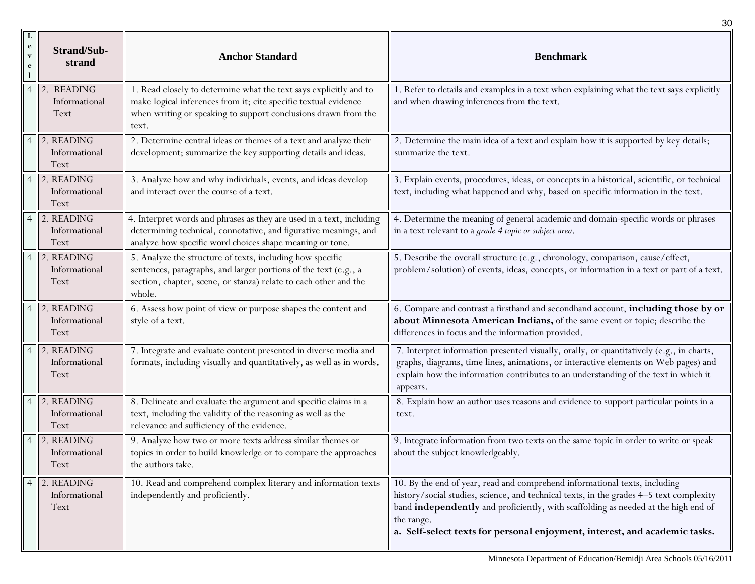|                        |                                     |                                                                                                                                                                                                                 | 30                                                                                                                                                                                                                                                                                                                                                      |
|------------------------|-------------------------------------|-----------------------------------------------------------------------------------------------------------------------------------------------------------------------------------------------------------------|---------------------------------------------------------------------------------------------------------------------------------------------------------------------------------------------------------------------------------------------------------------------------------------------------------------------------------------------------------|
| e<br>$\mathbf{v}$<br>e | <b>Strand/Sub-</b><br>strand        | <b>Anchor Standard</b>                                                                                                                                                                                          | <b>Benchmark</b>                                                                                                                                                                                                                                                                                                                                        |
|                        | 2. READING<br>Informational<br>Text | 1. Read closely to determine what the text says explicitly and to<br>make logical inferences from it; cite specific textual evidence<br>when writing or speaking to support conclusions drawn from the<br>text. | 1. Refer to details and examples in a text when explaining what the text says explicitly<br>and when drawing inferences from the text.                                                                                                                                                                                                                  |
|                        | 2. READING<br>Informational<br>Text | 2. Determine central ideas or themes of a text and analyze their<br>development; summarize the key supporting details and ideas.                                                                                | 2. Determine the main idea of a text and explain how it is supported by key details;<br>summarize the text.                                                                                                                                                                                                                                             |
| $\overline{4}$         | 2. READING<br>Informational<br>Text | 3. Analyze how and why individuals, events, and ideas develop<br>and interact over the course of a text.                                                                                                        | 3. Explain events, procedures, ideas, or concepts in a historical, scientific, or technical<br>text, including what happened and why, based on specific information in the text.                                                                                                                                                                        |
| $\overline{4}$         | 2. READING<br>Informational<br>Text | 4. Interpret words and phrases as they are used in a text, including<br>determining technical, connotative, and figurative meanings, and<br>analyze how specific word choices shape meaning or tone.            | 4. Determine the meaning of general academic and domain-specific words or phrases<br>in a text relevant to a grade 4 topic or subject area.                                                                                                                                                                                                             |
| $\overline{4}$         | 2. READING<br>Informational<br>Text | 5. Analyze the structure of texts, including how specific<br>sentences, paragraphs, and larger portions of the text (e.g., a<br>section, chapter, scene, or stanza) relate to each other and the<br>whole.      | 5. Describe the overall structure (e.g., chronology, comparison, cause/effect,<br>problem/solution) of events, ideas, concepts, or information in a text or part of a text.                                                                                                                                                                             |
|                        | 2. READING<br>Informational<br>Text | 6. Assess how point of view or purpose shapes the content and<br>style of a text.                                                                                                                               | 6. Compare and contrast a firsthand and secondhand account, including those by or<br>about Minnesota American Indians, of the same event or topic; describe the<br>differences in focus and the information provided.                                                                                                                                   |
|                        | 2. READING<br>Informational<br>Text | 7. Integrate and evaluate content presented in diverse media and<br>formats, including visually and quantitatively, as well as in words.                                                                        | 7. Interpret information presented visually, orally, or quantitatively (e.g., in charts,<br>graphs, diagrams, time lines, animations, or interactive elements on Web pages) and<br>explain how the information contributes to an understanding of the text in which it<br>appears.                                                                      |
|                        | 2. READING<br>Informational<br>Text | 8. Delineate and evaluate the argument and specific claims in a<br>text, including the validity of the reasoning as well as the<br>relevance and sufficiency of the evidence.                                   | 8. Explain how an author uses reasons and evidence to support particular points in a<br>text.                                                                                                                                                                                                                                                           |
| $\overline{4}$         | 2. READING<br>Informational<br>Text | 9. Analyze how two or more texts address similar themes or<br>topics in order to build knowledge or to compare the approaches<br>the authors take.                                                              | 9. Integrate information from two texts on the same topic in order to write or speak<br>about the subject knowledgeably.                                                                                                                                                                                                                                |
|                        | 2. READING<br>Informational<br>Text | 10. Read and comprehend complex literary and information texts<br>independently and proficiently.                                                                                                               | 10. By the end of year, read and comprehend informational texts, including<br>history/social studies, science, and technical texts, in the grades 4-5 text complexity<br>band independently and proficiently, with scaffolding as needed at the high end of<br>the range.<br>a. Self-select texts for personal enjoyment, interest, and academic tasks. |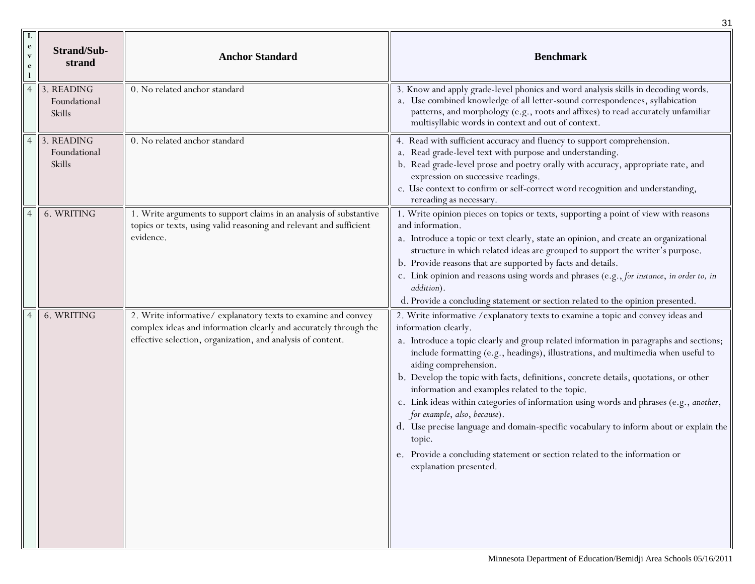|                                        |                                      |                                                                                                                                                                                                 | 31                                                                                                                                                                                                                                                                                                                                                                                                                                                                                                                                                                                                                                                                                                                                                                                              |
|----------------------------------------|--------------------------------------|-------------------------------------------------------------------------------------------------------------------------------------------------------------------------------------------------|-------------------------------------------------------------------------------------------------------------------------------------------------------------------------------------------------------------------------------------------------------------------------------------------------------------------------------------------------------------------------------------------------------------------------------------------------------------------------------------------------------------------------------------------------------------------------------------------------------------------------------------------------------------------------------------------------------------------------------------------------------------------------------------------------|
| L<br>$\mathbf{e}$<br>$\mathbf{v}$<br>e | Strand/Sub-<br>strand                | <b>Anchor Standard</b>                                                                                                                                                                          | <b>Benchmark</b>                                                                                                                                                                                                                                                                                                                                                                                                                                                                                                                                                                                                                                                                                                                                                                                |
|                                        | 3. READING<br>Foundational<br>Skills | 0. No related anchor standard                                                                                                                                                                   | 3. Know and apply grade-level phonics and word analysis skills in decoding words.<br>a. Use combined knowledge of all letter-sound correspondences, syllabication<br>patterns, and morphology (e.g., roots and affixes) to read accurately unfamiliar<br>multisyllabic words in context and out of context.                                                                                                                                                                                                                                                                                                                                                                                                                                                                                     |
|                                        | 3. READING<br>Foundational<br>Skills | 0. No related anchor standard                                                                                                                                                                   | 4. Read with sufficient accuracy and fluency to support comprehension.<br>a. Read grade-level text with purpose and understanding.<br>b. Read grade-level prose and poetry orally with accuracy, appropriate rate, and<br>expression on successive readings.<br>c. Use context to confirm or self-correct word recognition and understanding,<br>rereading as necessary.                                                                                                                                                                                                                                                                                                                                                                                                                        |
|                                        | 6. WRITING                           | 1. Write arguments to support claims in an analysis of substantive<br>topics or texts, using valid reasoning and relevant and sufficient<br>evidence.                                           | 1. Write opinion pieces on topics or texts, supporting a point of view with reasons<br>and information.<br>a. Introduce a topic or text clearly, state an opinion, and create an organizational<br>structure in which related ideas are grouped to support the writer's purpose.<br>b. Provide reasons that are supported by facts and details.<br>c. Link opinion and reasons using words and phrases (e.g., for instance, in order to, in<br>addition).<br>d. Provide a concluding statement or section related to the opinion presented.                                                                                                                                                                                                                                                     |
|                                        | 6. WRITING                           | 2. Write informative/explanatory texts to examine and convey<br>complex ideas and information clearly and accurately through the<br>effective selection, organization, and analysis of content. | 2. Write informative / explanatory texts to examine a topic and convey ideas and<br>information clearly.<br>a. Introduce a topic clearly and group related information in paragraphs and sections;<br>include formatting (e.g., headings), illustrations, and multimedia when useful to<br>aiding comprehension.<br>b. Develop the topic with facts, definitions, concrete details, quotations, or other<br>information and examples related to the topic.<br>c. Link ideas within categories of information using words and phrases (e.g., another,<br>for example, also, because).<br>d. Use precise language and domain-specific vocabulary to inform about or explain the<br>topic.<br>e. Provide a concluding statement or section related to the information or<br>explanation presented. |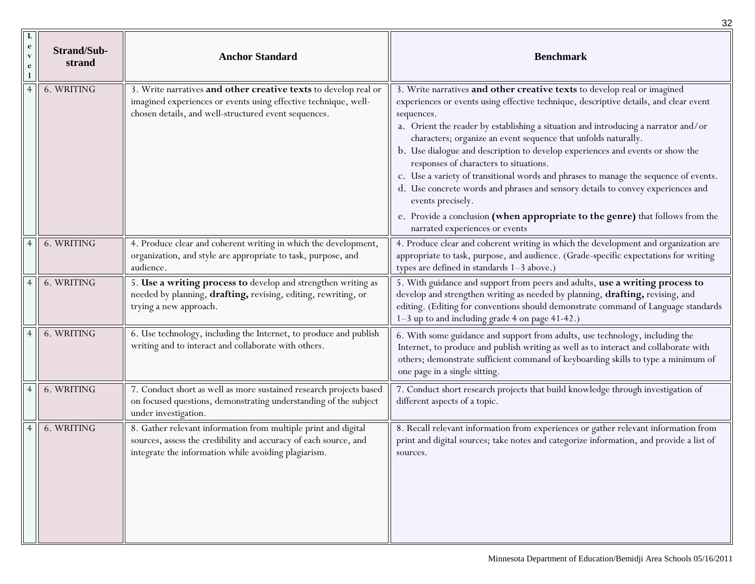|                   |                              |                                                                                                                                                                                            | 32                                                                                                                                                                                                                                                                                                                                                                                                                                                                                                                                                                                                                                                                                                                                                                                    |
|-------------------|------------------------------|--------------------------------------------------------------------------------------------------------------------------------------------------------------------------------------------|---------------------------------------------------------------------------------------------------------------------------------------------------------------------------------------------------------------------------------------------------------------------------------------------------------------------------------------------------------------------------------------------------------------------------------------------------------------------------------------------------------------------------------------------------------------------------------------------------------------------------------------------------------------------------------------------------------------------------------------------------------------------------------------|
| $\mathbf{e}$<br>e | <b>Strand/Sub-</b><br>strand | <b>Anchor Standard</b>                                                                                                                                                                     | <b>Benchmark</b>                                                                                                                                                                                                                                                                                                                                                                                                                                                                                                                                                                                                                                                                                                                                                                      |
|                   | 6. WRITING                   | 3. Write narratives and other creative texts to develop real or<br>imagined experiences or events using effective technique, well-<br>chosen details, and well-structured event sequences. | 3. Write narratives and other creative texts to develop real or imagined<br>experiences or events using effective technique, descriptive details, and clear event<br>sequences.<br>a. Orient the reader by establishing a situation and introducing a narrator and/or<br>characters; organize an event sequence that unfolds naturally.<br>b. Use dialogue and description to develop experiences and events or show the<br>responses of characters to situations.<br>c. Use a variety of transitional words and phrases to manage the sequence of events.<br>d. Use concrete words and phrases and sensory details to convey experiences and<br>events precisely.<br>e. Provide a conclusion (when appropriate to the genre) that follows from the<br>narrated experiences or events |
|                   | 6. WRITING                   | 4. Produce clear and coherent writing in which the development,<br>organization, and style are appropriate to task, purpose, and<br>audience.                                              | 4. Produce clear and coherent writing in which the development and organization are<br>appropriate to task, purpose, and audience. (Grade-specific expectations for writing<br>types are defined in standards 1-3 above.)                                                                                                                                                                                                                                                                                                                                                                                                                                                                                                                                                             |
|                   | 6. WRITING                   | 5. Use a writing process to develop and strengthen writing as<br>needed by planning, drafting, revising, editing, rewriting, or<br>trying a new approach.                                  | 5. With guidance and support from peers and adults, use a writing process to<br>develop and strengthen writing as needed by planning, drafting, revising, and<br>editing. (Editing for conventions should demonstrate command of Language standards<br>1-3 up to and including grade 4 on page 41-42.)                                                                                                                                                                                                                                                                                                                                                                                                                                                                                |
|                   | 6. WRITING                   | 6. Use technology, including the Internet, to produce and publish<br>writing and to interact and collaborate with others.                                                                  | 6. With some guidance and support from adults, use technology, including the<br>Internet, to produce and publish writing as well as to interact and collaborate with<br>others; demonstrate sufficient command of keyboarding skills to type a minimum of<br>one page in a single sitting.                                                                                                                                                                                                                                                                                                                                                                                                                                                                                            |
|                   | 6. WRITING                   | 7. Conduct short as well as more sustained research projects based<br>on focused questions, demonstrating understanding of the subject<br>under investigation.                             | 7. Conduct short research projects that build knowledge through investigation of<br>different aspects of a topic.                                                                                                                                                                                                                                                                                                                                                                                                                                                                                                                                                                                                                                                                     |
|                   | 6. WRITING                   | 8. Gather relevant information from multiple print and digital<br>sources, assess the credibility and accuracy of each source, and<br>integrate the information while avoiding plagiarism. | 8. Recall relevant information from experiences or gather relevant information from<br>print and digital sources; take notes and categorize information, and provide a list of<br>sources.                                                                                                                                                                                                                                                                                                                                                                                                                                                                                                                                                                                            |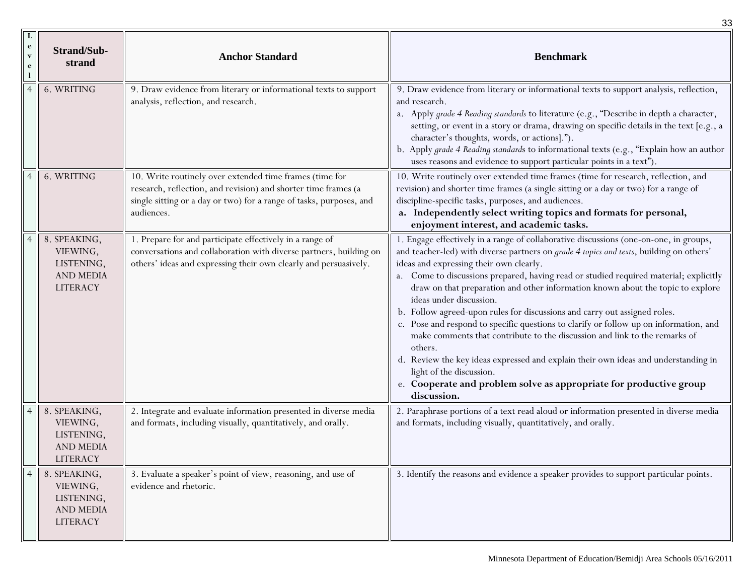|                                                 |                                                                               |                                                                                                                                                                                                                | 33                                                                                                                                                                                                                                                                                                                                                                                                                                                                                                                                                                                                                                                                                                                                                                                                                                                                                                               |
|-------------------------------------------------|-------------------------------------------------------------------------------|----------------------------------------------------------------------------------------------------------------------------------------------------------------------------------------------------------------|------------------------------------------------------------------------------------------------------------------------------------------------------------------------------------------------------------------------------------------------------------------------------------------------------------------------------------------------------------------------------------------------------------------------------------------------------------------------------------------------------------------------------------------------------------------------------------------------------------------------------------------------------------------------------------------------------------------------------------------------------------------------------------------------------------------------------------------------------------------------------------------------------------------|
| L<br>$\mathbf{e}$<br>$\mathbf v$<br>$\mathbf e$ | <b>Strand/Sub-</b><br>strand                                                  | <b>Anchor Standard</b>                                                                                                                                                                                         | <b>Benchmark</b>                                                                                                                                                                                                                                                                                                                                                                                                                                                                                                                                                                                                                                                                                                                                                                                                                                                                                                 |
|                                                 | 6. WRITING                                                                    | 9. Draw evidence from literary or informational texts to support<br>analysis, reflection, and research.                                                                                                        | 9. Draw evidence from literary or informational texts to support analysis, reflection,<br>and research.<br>a. Apply grade 4 Reading standards to literature (e.g., "Describe in depth a character,<br>setting, or event in a story or drama, drawing on specific details in the text [e.g., a<br>character's thoughts, words, or actions].").<br>b. Apply grade 4 Reading standards to informational texts (e.g., "Explain how an author<br>uses reasons and evidence to support particular points in a text").                                                                                                                                                                                                                                                                                                                                                                                                  |
|                                                 | 6. WRITING                                                                    | 10. Write routinely over extended time frames (time for<br>research, reflection, and revision) and shorter time frames (a<br>single sitting or a day or two) for a range of tasks, purposes, and<br>audiences. | 10. Write routinely over extended time frames (time for research, reflection, and<br>revision) and shorter time frames (a single sitting or a day or two) for a range of<br>discipline-specific tasks, purposes, and audiences.<br>a. Independently select writing topics and formats for personal,<br>enjoyment interest, and academic tasks.                                                                                                                                                                                                                                                                                                                                                                                                                                                                                                                                                                   |
|                                                 | 8. SPEAKING,<br>VIEWING,<br>LISTENING,<br><b>AND MEDIA</b><br><b>LITERACY</b> | 1. Prepare for and participate effectively in a range of<br>conversations and collaboration with diverse partners, building on<br>others' ideas and expressing their own clearly and persuasively.             | 1. Engage effectively in a range of collaborative discussions (one-on-one, in groups,<br>and teacher-led) with diverse partners on <i>grade 4 topics and texts</i> , building on others'<br>ideas and expressing their own clearly.<br>a. Come to discussions prepared, having read or studied required material; explicitly<br>draw on that preparation and other information known about the topic to explore<br>ideas under discussion.<br>b. Follow agreed-upon rules for discussions and carry out assigned roles.<br>c. Pose and respond to specific questions to clarify or follow up on information, and<br>make comments that contribute to the discussion and link to the remarks of<br>others.<br>d. Review the key ideas expressed and explain their own ideas and understanding in<br>light of the discussion.<br>e. Cooperate and problem solve as appropriate for productive group<br>discussion. |
| $\overline{4}$                                  | 8. SPEAKING,<br>VIEWING,<br>LISTENING,<br><b>AND MEDIA</b><br><b>LITERACY</b> | 2. Integrate and evaluate information presented in diverse media<br>and formats, including visually, quantitatively, and orally.                                                                               | 2. Paraphrase portions of a text read aloud or information presented in diverse media<br>and formats, including visually, quantitatively, and orally.                                                                                                                                                                                                                                                                                                                                                                                                                                                                                                                                                                                                                                                                                                                                                            |
| $\overline{4}$                                  | 8. SPEAKING,<br>VIEWING,<br>LISTENING,<br>AND MEDIA<br><b>LITERACY</b>        | 3. Evaluate a speaker's point of view, reasoning, and use of<br>evidence and rhetoric.                                                                                                                         | 3. Identify the reasons and evidence a speaker provides to support particular points.                                                                                                                                                                                                                                                                                                                                                                                                                                                                                                                                                                                                                                                                                                                                                                                                                            |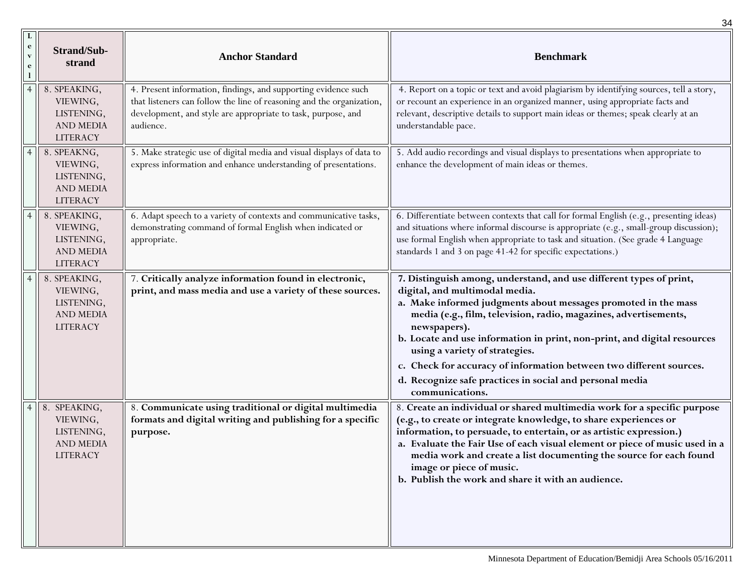|                                                          |                                                                               |                                                                                                                                                                                                                      | 34                                                                                                                                                                                                                                                                                                                                                                                                                                                                                                                              |
|----------------------------------------------------------|-------------------------------------------------------------------------------|----------------------------------------------------------------------------------------------------------------------------------------------------------------------------------------------------------------------|---------------------------------------------------------------------------------------------------------------------------------------------------------------------------------------------------------------------------------------------------------------------------------------------------------------------------------------------------------------------------------------------------------------------------------------------------------------------------------------------------------------------------------|
| $\bf{L}$<br>$\mathbf{e}$<br>$\mathbf{v}$<br>$\mathbf{e}$ | <b>Strand/Sub-</b><br>strand                                                  | <b>Anchor Standard</b>                                                                                                                                                                                               | <b>Benchmark</b>                                                                                                                                                                                                                                                                                                                                                                                                                                                                                                                |
|                                                          | 8. SPEAKING,<br>VIEWING,<br>LISTENING,<br><b>AND MEDIA</b><br><b>LITERACY</b> | 4. Present information, findings, and supporting evidence such<br>that listeners can follow the line of reasoning and the organization,<br>development, and style are appropriate to task, purpose, and<br>audience. | 4. Report on a topic or text and avoid plagiarism by identifying sources, tell a story,<br>or recount an experience in an organized manner, using appropriate facts and<br>relevant, descriptive details to support main ideas or themes; speak clearly at an<br>understandable pace.                                                                                                                                                                                                                                           |
|                                                          | 8. SPEAKNG,<br>VIEWING,<br>LISTENING,<br><b>AND MEDIA</b><br><b>LITERACY</b>  | 5. Make strategic use of digital media and visual displays of data to<br>express information and enhance understanding of presentations.                                                                             | 5. Add audio recordings and visual displays to presentations when appropriate to<br>enhance the development of main ideas or themes.                                                                                                                                                                                                                                                                                                                                                                                            |
|                                                          | 8. SPEAKING,<br>VIEWING,<br>LISTENING,<br><b>AND MEDIA</b><br><b>LITERACY</b> | 6. Adapt speech to a variety of contexts and communicative tasks,<br>demonstrating command of formal English when indicated or<br>appropriate.                                                                       | 6. Differentiate between contexts that call for formal English (e.g., presenting ideas)<br>and situations where informal discourse is appropriate (e.g., small-group discussion);<br>use formal English when appropriate to task and situation. (See grade 4 Language<br>standards 1 and 3 on page 41-42 for specific expectations.)                                                                                                                                                                                            |
|                                                          | 8. SPEAKING,<br>VIEWING,<br>LISTENING,<br><b>AND MEDIA</b><br><b>LITERACY</b> | 7. Critically analyze information found in electronic,<br>print, and mass media and use a variety of these sources.                                                                                                  | 7. Distinguish among, understand, and use different types of print,<br>digital, and multimodal media.<br>a. Make informed judgments about messages promoted in the mass<br>media (e.g., film, television, radio, magazines, advertisements,<br>newspapers).<br>b. Locate and use information in print, non-print, and digital resources<br>using a variety of strategies.<br>c. Check for accuracy of information between two different sources.<br>d. Recognize safe practices in social and personal media<br>communications. |
| $\overline{4}$                                           | 8. SPEAKING,<br>VIEWING,<br>LISTENING,<br>AND MEDIA<br><b>LITERACY</b>        | 8. Communicate using traditional or digital multimedia<br>formats and digital writing and publishing for a specific<br>purpose.                                                                                      | 8. Create an individual or shared multimedia work for a specific purpose<br>(e.g., to create or integrate knowledge, to share experiences or<br>information, to persuade, to entertain, or as artistic expression.)<br>a. Evaluate the Fair Use of each visual element or piece of music used in a<br>media work and create a list documenting the source for each found<br>image or piece of music.<br>b. Publish the work and share it with an audience.                                                                      |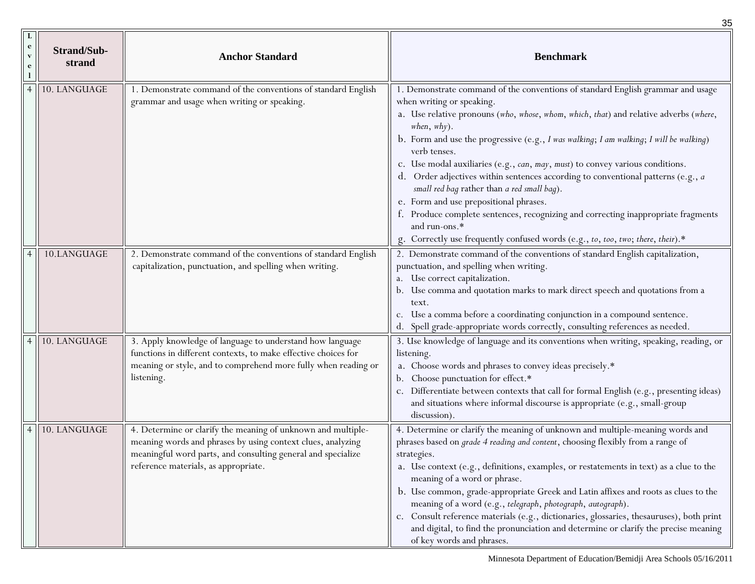|                        |                              |                                                                                                                                                                                                                                     | 35                                                                                                                                                                                                                                                                                                                                                                                                                                                                                                                                                                                                                                                                                                                                                                                          |
|------------------------|------------------------------|-------------------------------------------------------------------------------------------------------------------------------------------------------------------------------------------------------------------------------------|---------------------------------------------------------------------------------------------------------------------------------------------------------------------------------------------------------------------------------------------------------------------------------------------------------------------------------------------------------------------------------------------------------------------------------------------------------------------------------------------------------------------------------------------------------------------------------------------------------------------------------------------------------------------------------------------------------------------------------------------------------------------------------------------|
| e<br>$\mathbf{V}$<br>e | <b>Strand/Sub-</b><br>strand | <b>Anchor Standard</b>                                                                                                                                                                                                              | <b>Benchmark</b>                                                                                                                                                                                                                                                                                                                                                                                                                                                                                                                                                                                                                                                                                                                                                                            |
|                        | 10. LANGUAGE                 | 1. Demonstrate command of the conventions of standard English<br>grammar and usage when writing or speaking.                                                                                                                        | 1. Demonstrate command of the conventions of standard English grammar and usage<br>when writing or speaking.<br>a. Use relative pronouns (who, whose, whom, which, that) and relative adverbs (where,<br>when, why).<br>b. Form and use the progressive (e.g., $I$ was walking; $I$ am walking; $I$ will be walking)<br>verb tenses.<br>c. Use modal auxiliaries (e.g., can, may, must) to convey various conditions.<br>d. Order adjectives within sentences according to conventional patterns (e.g., a<br>small red bag rather than a red small bag).<br>e. Form and use prepositional phrases.<br>f. Produce complete sentences, recognizing and correcting inappropriate fragments<br>and run-ons.*<br>g. Correctly use frequently confused words (e.g., to, too, two; there, their).* |
|                        | 10.LANGUAGE                  | 2. Demonstrate command of the conventions of standard English<br>capitalization, punctuation, and spelling when writing.                                                                                                            | 2. Demonstrate command of the conventions of standard English capitalization,<br>punctuation, and spelling when writing.<br>a. Use correct capitalization.<br>b. Use comma and quotation marks to mark direct speech and quotations from a<br>text.<br>c. Use a comma before a coordinating conjunction in a compound sentence.<br>d. Spell grade-appropriate words correctly, consulting references as needed.                                                                                                                                                                                                                                                                                                                                                                             |
|                        | 10. LANGUAGE                 | 3. Apply knowledge of language to understand how language<br>functions in different contexts, to make effective choices for<br>meaning or style, and to comprehend more fully when reading or<br>listening.                         | 3. Use knowledge of language and its conventions when writing, speaking, reading, or<br>listening.<br>a. Choose words and phrases to convey ideas precisely.*<br>Choose punctuation for effect.*<br>Differentiate between contexts that call for formal English (e.g., presenting ideas)<br>and situations where informal discourse is appropriate (e.g., small-group<br>discussion).                                                                                                                                                                                                                                                                                                                                                                                                       |
|                        | 10. LANGUAGE                 | 4. Determine or clarify the meaning of unknown and multiple-<br>meaning words and phrases by using context clues, analyzing<br>meaningful word parts, and consulting general and specialize<br>reference materials, as appropriate. | 4. Determine or clarify the meaning of unknown and multiple-meaning words and<br>phrases based on <i>grade 4 reading and content</i> , choosing flexibly from a range of<br>strategies.<br>a. Use context (e.g., definitions, examples, or restatements in text) as a clue to the<br>meaning of a word or phrase.<br>b. Use common, grade-appropriate Greek and Latin affixes and roots as clues to the<br>meaning of a word (e.g., telegraph, photograph, autograph).<br>c. Consult reference materials (e.g., dictionaries, glossaries, thesauruses), both print<br>and digital, to find the pronunciation and determine or clarify the precise meaning<br>of key words and phrases.                                                                                                      |